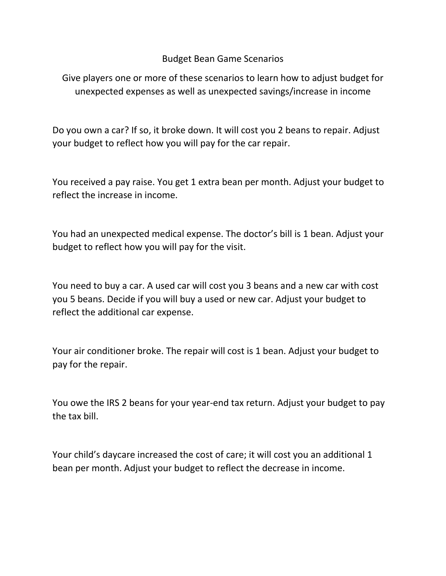## Budget Bean Game Scenarios

Give players one or more of these scenarios to learn how to adjust budget for unexpected expenses as well as unexpected savings/increase in income

Do you own a car? If so, it broke down. It will cost you 2 beans to repair. Adjust your budget to reflect how you will pay for the car repair.

You received a pay raise. You get 1 extra bean per month. Adjust your budget to reflect the increase in income.

You had an unexpected medical expense. The doctor's bill is 1 bean. Adjust your budget to reflect how you will pay for the visit.

You need to buy a car. A used car will cost you 3 beans and a new car with cost you 5 beans. Decide if you will buy a used or new car. Adjust your budget to reflect the additional car expense.

Your air conditioner broke. The repair will cost is 1 bean. Adjust your budget to pay for the repair.

You owe the IRS 2 beans for your year-end tax return. Adjust your budget to pay the tax bill.

Your child's daycare increased the cost of care; it will cost you an additional 1 bean per month. Adjust your budget to reflect the decrease in income.